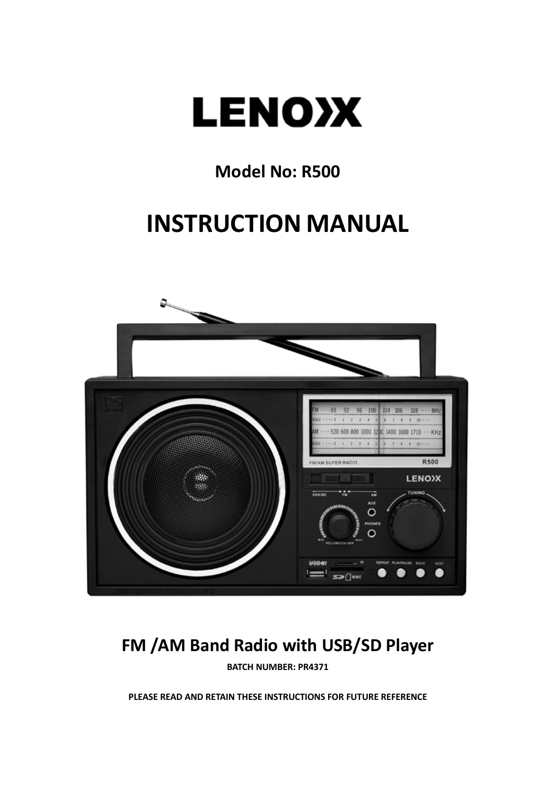

### **Model No: R500**

## **INSTRUCTION MANUAL**



## **FM /AM Band Radio with USB/SD Player**

**BATCH NUMBER: PR4371**

**PLEASE READ AND RETAIN THESE INSTRUCTIONS FOR FUTURE REFERENCE**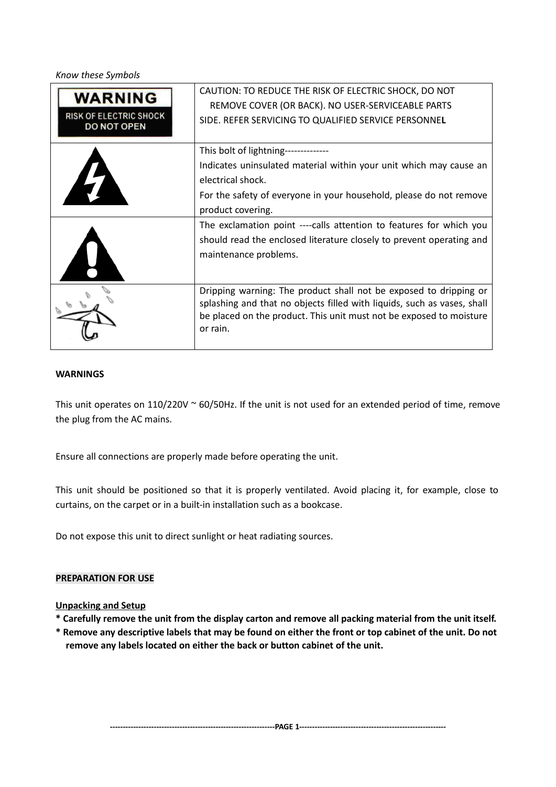**Know these Symbols** 

| <b>WARNING</b><br><b>RISK OF ELECTRIC SHOCK</b><br>DO NOT OPEN | CAUTION: TO REDUCE THE RISK OF ELECTRIC SHOCK, DO NOT<br>REMOVE COVER (OR BACK). NO USER-SERVICEABLE PARTS<br>SIDE. REFER SERVICING TO QUALIFIED SERVICE PERSONNEL                                                              |
|----------------------------------------------------------------|---------------------------------------------------------------------------------------------------------------------------------------------------------------------------------------------------------------------------------|
|                                                                | This bolt of lightning--------------<br>Indicates uninsulated material within your unit which may cause an<br>electrical shock.<br>For the safety of everyone in your household, please do not remove<br>product covering.      |
|                                                                | The exclamation point ----calls attention to features for which you<br>should read the enclosed literature closely to prevent operating and<br>maintenance problems.                                                            |
|                                                                | Dripping warning: The product shall not be exposed to dripping or<br>splashing and that no objects filled with liquids, such as vases, shall<br>be placed on the product. This unit must not be exposed to moisture<br>or rain. |

#### **WARNINGS**

This unit operates on  $110/220V \approx 60/50$ Hz. If the unit is not used for an extended period of time, remove the plug from the AC mains.

Ensure all connections are properly made before operating the unit.

This unit should be positioned so that it is properly ventilated. Avoid placing it, for example, close to curtains, on the carpet or in a built-in installation such as a bookcase.

Do not expose this unit to direct sunlight or heat radiating sources.

#### **PREPARATION FOR USE**

#### **Unpacking and Setup**

- **\* Carefully remove the unit from the display carton and remove all packing material from the unit itself.**
- **\* Remove any descriptive labels that may be found on either the front or top cabinet of the unit. Do not remove any labels located on either the back or button cabinet of the unit.**

**----------------------------------------------------------------PAGE 1---------------------------------------------------------**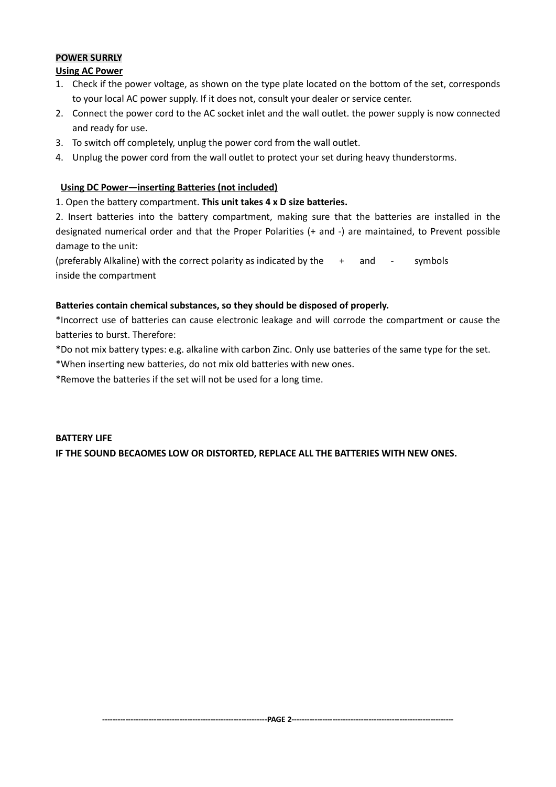#### **POWER SURRLY**

#### **Using AC Power**

- 1. Check if the power voltage, as shown on the type plate located on the bottom of the set, corresponds to your local AC power supply. If it does not, consult your dealer or service center.
- 2. Connect the power cord to the AC socket inlet and the wall outlet. the power supply is now connected and ready for use.
- 3. To switch off completely, unplug the power cord from the wall outlet.
- 4. Unplug the power cord from the wall outlet to protect your set during heavy thunderstorms.

#### **Using DC Power—inserting Batteries (not included)**

1. Open the battery compartment. **This unit takes 4 x D size batteries.**

2. Insert batteries into the battery compartment, making sure that the batteries are installed in the designated numerical order and that the Proper Polarities (+ and -) are maintained, to Prevent possible damage to the unit:

(preferably Alkaline) with the correct polarity as indicated by the  $+$  and  $-$  symbols inside the compartment

#### **Batteries contain chemical substances, so they should be disposed of properly.**

\*Incorrect use of batteries can cause electronic leakage and will corrode the compartment or cause the batteries to burst. Therefore:

\*Do not mix battery types: e.g. alkaline with carbon Zinc. Only use batteries of the same type for the set.

\*When inserting new batteries, do not mix old batteries with new ones.

\*Remove the batteries if the set will not be used for a long time.

#### **BATTERY LIFE IF THE SOUND BECAOMES LOW OR DISTORTED, REPLACE ALL THE BATTERIES WITH NEW ONES.**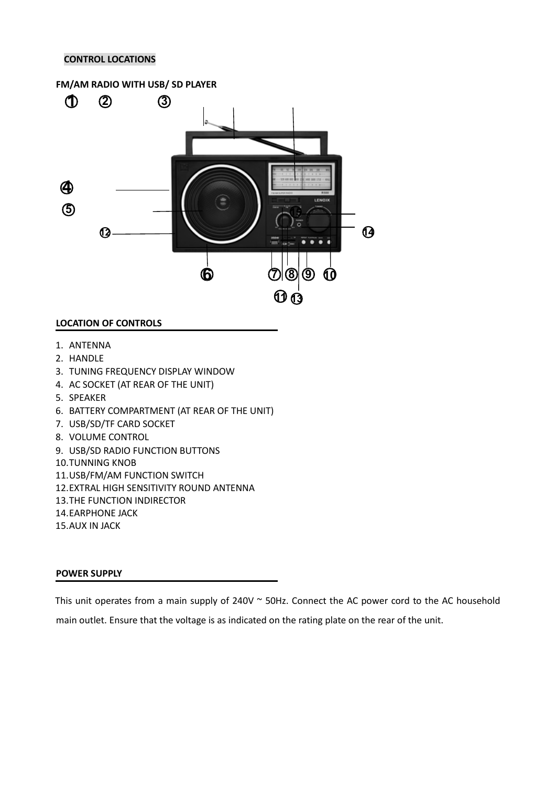#### **CONTROL LOCATIONS**

# **FM/AM RADIO WITH USB/ SD PLAYER** ƻ**1** ƻ**2** ƻ**<sup>3</sup>** ƻ**4 6** <del>Here 1</del> **15 0 1 1 1 1 1 1 1 1** ƻ**6** ƻ**<sup>7</sup>** ƻ**<sup>8</sup>** ƻ**<sup>9</sup>** ƻ**<sup>10</sup>** ƻ**11**ƻ**<sup>13</sup>**

#### **LOCATION OF CONTROLS**

- 1. ANTENNA
- 2. HANDLE
- 3. TUNING FREQUENCY DISPLAY WINDOW
- 4. AC SOCKET (AT REAR OF THE UNIT)
- 5. SPEAKER
- 6. BATTERY COMPARTMENT (AT REAR OF THE UNIT)
- 7. USB/SD/TF CARD SOCKET
- 8. VOLUME CONTROL
- 9. USB/SD RADIO FUNCTION BUTTONS
- 10.TUNNING KNOB
- 11.USB/FM/AM FUNCTION SWITCH
- 12.EXTRAL HIGH SENSITIVITY ROUND ANTENNA
- 13.THE FUNCTION INDIRECTOR
- 14.EARPHONE JACK
- 15.AUX IN JACK

#### **POWER SUPPLY**

This unit operates from a main supply of 240V ~ 50Hz. Connect the AC power cord to the AC household main outlet. Ensure that the voltage is as indicated on the rating plate on the rear of the unit.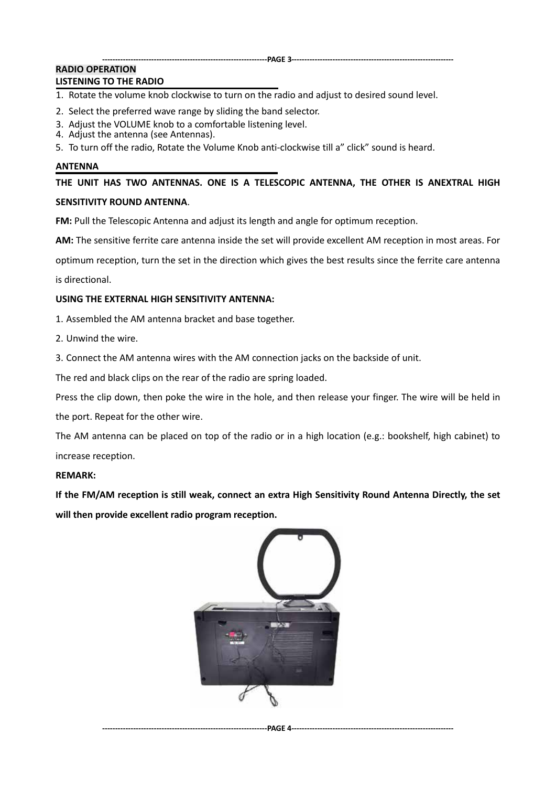#### **----------------------------------------------------------------PAGE 3---------------------------------------------------------------**

#### **RADIO OPERATION LISTENING TO THE RADIO**

#### 1. Rotate the volume knob clockwise to turn on the radio and adjust to desired sound level.

- 2. Select the preferred wave range by sliding the band selector.
- 3. Adjust the VOLUME knob to a comfortable listening level.
- 4. Adjust the antenna (see Antennas).
- 5. To turn off the radio, Rotate the Volume Knob anti-clockwise till a" click" sound is heard.

#### **ANTENNA**

**THE UNIT HAS TWO ANTENNAS. ONE IS A TELESCOPIC ANTENNA, THE OTHER IS ANEXTRAL HIGH SENSITIVITY ROUND ANTENNA**.

**FM:** Pull the Telescopic Antenna and adjust its length and angle for optimum reception.

**AM:** The sensitive ferrite care antenna inside the set will provide excellent AM reception in most areas. For

optimum reception, turn the set in the direction which gives the best results since the ferrite care antenna

is directional.

#### **USING THE EXTERNAL HIGH SENSITIVITY ANTENNA:**

1. Assembled the AM antenna bracket and base together.

2. Unwind the wire.

3. Connect the AM antenna wires with the AM connection jacks on the backside of unit.

The red and black clips on the rear of the radio are spring loaded.

Press the clip down, then poke the wire in the hole, and then release your finger. The wire will be held in the port. Repeat for the other wire.

The AM antenna can be placed on top of the radio or in a high location (e.g.: bookshelf, high cabinet) to

increase reception.

#### **REMARK:**

**If the FM/AM reception is still weak, connect an extra High Sensitivity Round Antenna Directly, the set will then provide excellent radio program reception.**



**----------------------------------------------------------------PAGE 4---------------------------------------------------------------**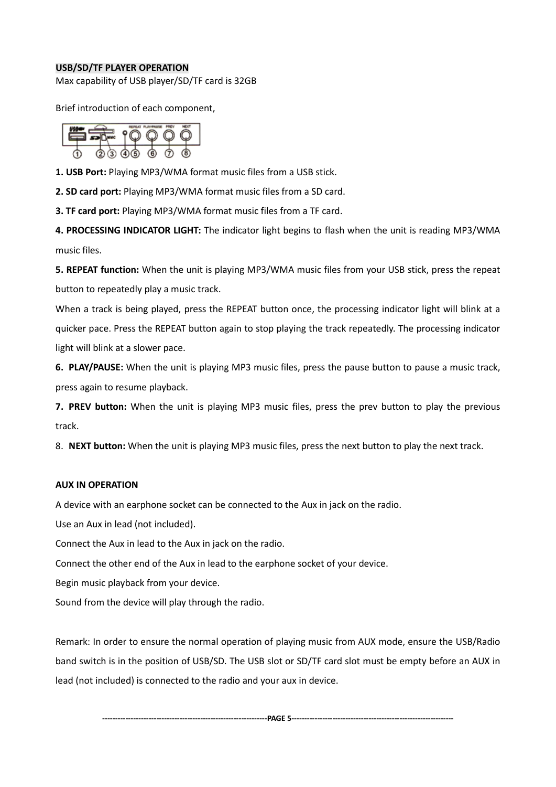#### **USB/SD/TF PLAYER OPERATION**

Max capability of USB player/SD/TF card is 32GB

Brief introduction of each component,

**1. USB Port:** Playing MP3/WMA format music files from a USB stick.

**2. SD card port:** Playing MP3/WMA format music files from a SD card.

**3. TF card port:** Playing MP3/WMA format music files from a TF card.

**4. PROCESSING INDICATOR LIGHT:** The indicator light begins to flash when the unit is reading MP3/WMA music files.

**5. REPEAT function:** When the unit is playing MP3/WMA music files from your USB stick, press the repeat button to repeatedly play a music track.

When a track is being played, press the REPEAT button once, the processing indicator light will blink at a quicker pace. Press the REPEAT button again to stop playing the track repeatedly. The processing indicator light will blink at a slower pace.

**6. PLAY/PAUSE:** When the unit is playing MP3 music files, press the pause button to pause a music track, press again to resume playback.

**7. PREV button:** When the unit is playing MP3 music files, press the prev button to play the previous track.

8. **NEXT button:** When the unit is playing MP3 music files, press the next button to play the next track.

#### **AUX IN OPERATION**

A device with an earphone socket can be connected to the Aux in jack on the radio.

Use an Aux in lead (not included).

Connect the Aux in lead to the Aux in jack on the radio.

Connect the other end of the Aux in lead to the earphone socket of your device.

Begin music playback from your device.

Sound from the device will play through the radio.

Remark: In order to ensure the normal operation of playing music from AUX mode, ensure the USB/Radio band switch is in the position of USB/SD. The USB slot or SD/TF card slot must be empty before an AUX in lead (not included) is connected to the radio and your aux in device.

**----------------------------------------------------------------PAGE 5---------------------------------------------------------------**